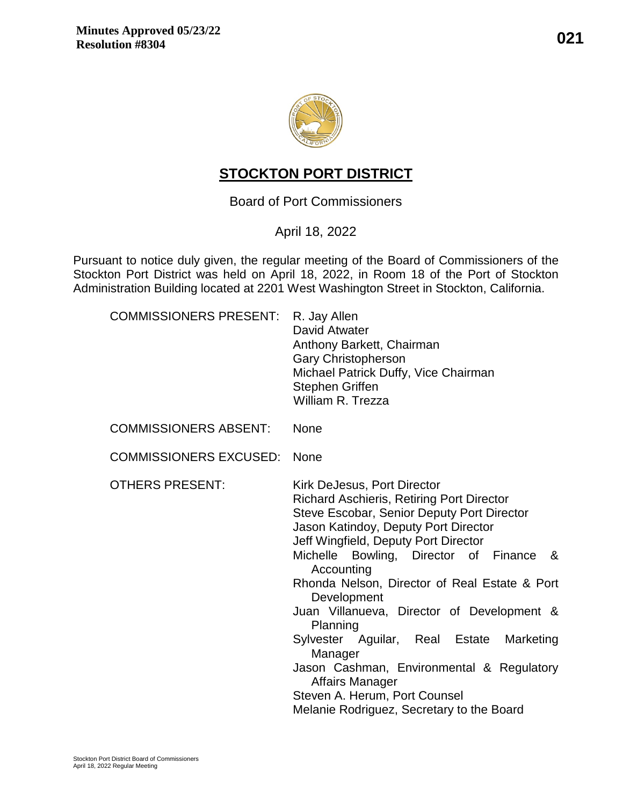

# **STOCKTON PORT DISTRICT**

Board of Port Commissioners

# April 18, 2022

Pursuant to notice duly given, the regular meeting of the Board of Commissioners of the Stockton Port District was held on April 18, 2022, in Room 18 of the Port of Stockton Administration Building located at 2201 West Washington Street in Stockton, California.

| <b>COMMISSIONERS PRESENT:</b> | R. Jay Allen<br>David Atwater<br>Anthony Barkett, Chairman<br><b>Gary Christopherson</b><br>Michael Patrick Duffy, Vice Chairman<br><b>Stephen Griffen</b><br>William R. Trezza                                                                                                                                                                                                                                                                                                                                                                                                                                 |
|-------------------------------|-----------------------------------------------------------------------------------------------------------------------------------------------------------------------------------------------------------------------------------------------------------------------------------------------------------------------------------------------------------------------------------------------------------------------------------------------------------------------------------------------------------------------------------------------------------------------------------------------------------------|
| <b>COMMISSIONERS ABSENT:</b>  | <b>None</b>                                                                                                                                                                                                                                                                                                                                                                                                                                                                                                                                                                                                     |
| <b>COMMISSIONERS EXCUSED:</b> | <b>None</b>                                                                                                                                                                                                                                                                                                                                                                                                                                                                                                                                                                                                     |
| <b>OTHERS PRESENT:</b>        | Kirk DeJesus, Port Director<br><b>Richard Aschieris, Retiring Port Director</b><br>Steve Escobar, Senior Deputy Port Director<br>Jason Katindoy, Deputy Port Director<br>Jeff Wingfield, Deputy Port Director<br>Michelle Bowling, Director of Finance<br>&<br>Accounting<br>Rhonda Nelson, Director of Real Estate & Port<br>Development<br>Juan Villanueva, Director of Development &<br>Planning<br>Sylvester Aguilar, Real Estate Marketing<br>Manager<br>Jason Cashman, Environmental & Regulatory<br><b>Affairs Manager</b><br>Steven A. Herum, Port Counsel<br>Melanie Rodriguez, Secretary to the Board |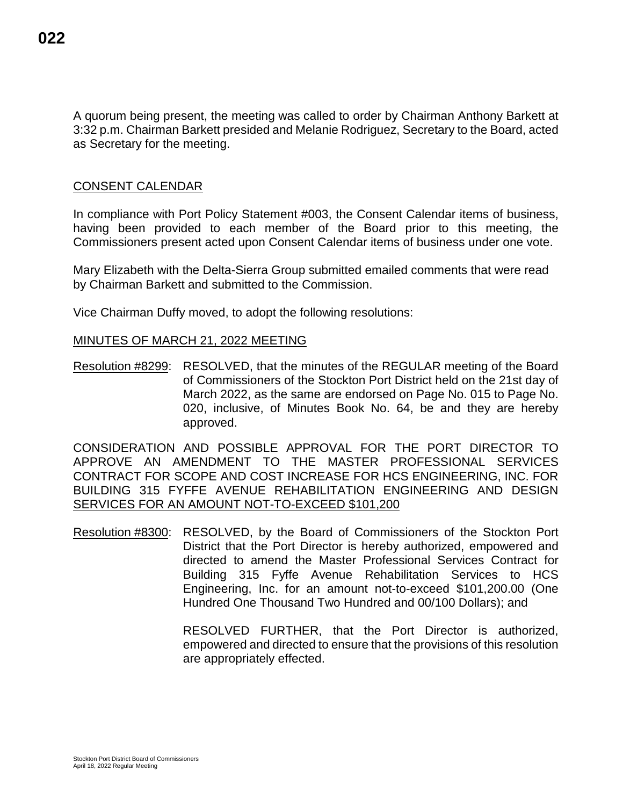A quorum being present, the meeting was called to order by Chairman Anthony Barkett at 3:32 p.m. Chairman Barkett presided and Melanie Rodriguez, Secretary to the Board, acted as Secretary for the meeting.

### CONSENT CALENDAR

In compliance with Port Policy Statement #003, the Consent Calendar items of business, having been provided to each member of the Board prior to this meeting, the Commissioners present acted upon Consent Calendar items of business under one vote.

Mary Elizabeth with the Delta-Sierra Group submitted emailed comments that were read by Chairman Barkett and submitted to the Commission.

Vice Chairman Duffy moved, to adopt the following resolutions:

### MINUTES OF MARCH 21, 2022 MEETING

Resolution #8299: RESOLVED, that the minutes of the REGULAR meeting of the Board of Commissioners of the Stockton Port District held on the 21st day of March 2022, as the same are endorsed on Page No. 015 to Page No. 020, inclusive, of Minutes Book No. 64, be and they are hereby approved.

CONSIDERATION AND POSSIBLE APPROVAL FOR THE PORT DIRECTOR TO APPROVE AN AMENDMENT TO THE MASTER PROFESSIONAL SERVICES CONTRACT FOR SCOPE AND COST INCREASE FOR HCS ENGINEERING, INC. FOR BUILDING 315 FYFFE AVENUE REHABILITATION ENGINEERING AND DESIGN SERVICES FOR AN AMOUNT NOT-TO-EXCEED \$101,200

Resolution #8300: RESOLVED, by the Board of Commissioners of the Stockton Port District that the Port Director is hereby authorized, empowered and directed to amend the Master Professional Services Contract for Building 315 Fyffe Avenue Rehabilitation Services to HCS Engineering, Inc. for an amount not-to-exceed \$101,200.00 (One Hundred One Thousand Two Hundred and 00/100 Dollars); and

> RESOLVED FURTHER, that the Port Director is authorized, empowered and directed to ensure that the provisions of this resolution are appropriately effected.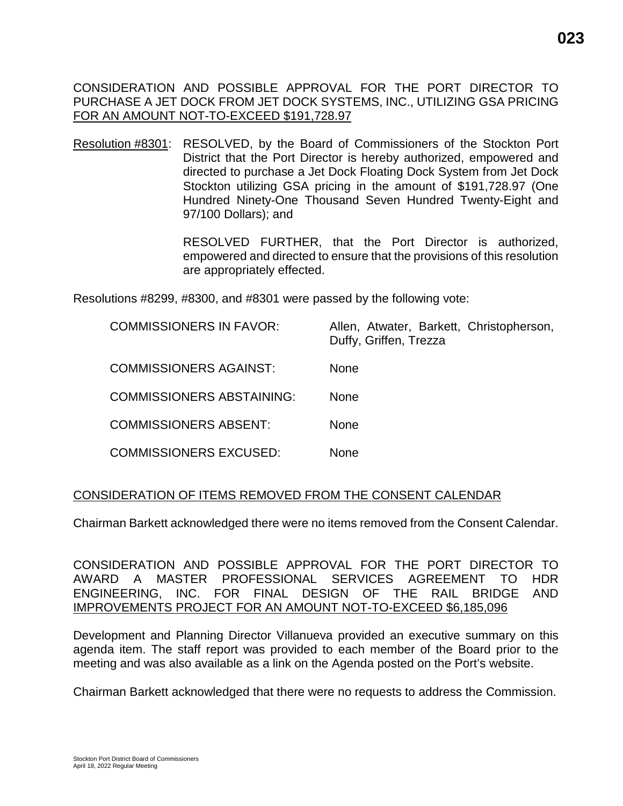CONSIDERATION AND POSSIBLE APPROVAL FOR THE PORT DIRECTOR TO PURCHASE A JET DOCK FROM JET DOCK SYSTEMS, INC., UTILIZING GSA PRICING FOR AN AMOUNT NOT-TO-EXCEED \$191,728.97

Resolution #8301: RESOLVED, by the Board of Commissioners of the Stockton Port District that the Port Director is hereby authorized, empowered and directed to purchase a Jet Dock Floating Dock System from Jet Dock Stockton utilizing GSA pricing in the amount of \$191,728.97 (One Hundred Ninety-One Thousand Seven Hundred Twenty-Eight and 97/100 Dollars); and

> RESOLVED FURTHER, that the Port Director is authorized, empowered and directed to ensure that the provisions of this resolution are appropriately effected.

Resolutions #8299, #8300, and #8301 were passed by the following vote:

| <b>COMMISSIONERS IN FAVOR:</b>   | Allen, Atwater, Barkett, Christopherson,<br>Duffy, Griffen, Trezza |
|----------------------------------|--------------------------------------------------------------------|
| <b>COMMISSIONERS AGAINST:</b>    | <b>None</b>                                                        |
| <b>COMMISSIONERS ABSTAINING:</b> | <b>None</b>                                                        |
| <b>COMMISSIONERS ABSENT:</b>     | <b>None</b>                                                        |
| <b>COMMISSIONERS EXCUSED:</b>    | None                                                               |

### CONSIDERATION OF ITEMS REMOVED FROM THE CONSENT CALENDAR

Chairman Barkett acknowledged there were no items removed from the Consent Calendar.

CONSIDERATION AND POSSIBLE APPROVAL FOR THE PORT DIRECTOR TO AWARD A MASTER PROFESSIONAL SERVICES AGREEMENT TO HDR ENGINEERING, INC. FOR FINAL DESIGN OF THE RAIL BRIDGE AND IMPROVEMENTS PROJECT FOR AN AMOUNT NOT-TO-EXCEED \$6,185,096

Development and Planning Director Villanueva provided an executive summary on this agenda item. The staff report was provided to each member of the Board prior to the meeting and was also available as a link on the Agenda posted on the Port's website.

Chairman Barkett acknowledged that there were no requests to address the Commission.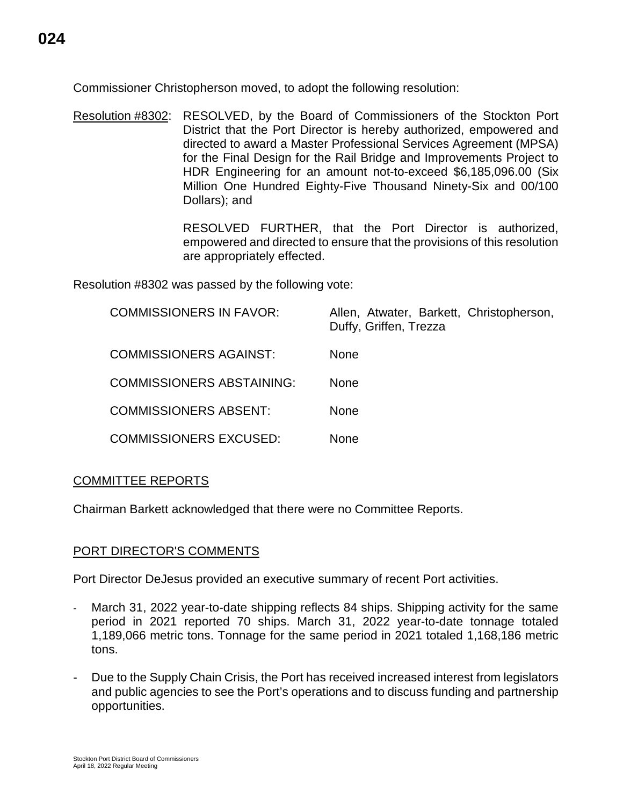Commissioner Christopherson moved, to adopt the following resolution:

Resolution #8302: RESOLVED, by the Board of Commissioners of the Stockton Port District that the Port Director is hereby authorized, empowered and directed to award a Master Professional Services Agreement (MPSA) for the Final Design for the Rail Bridge and Improvements Project to HDR Engineering for an amount not-to-exceed \$6,185,096.00 (Six Million One Hundred Eighty-Five Thousand Ninety-Six and 00/100 Dollars); and

> RESOLVED FURTHER, that the Port Director is authorized, empowered and directed to ensure that the provisions of this resolution are appropriately effected.

Resolution #8302 was passed by the following vote:

| <b>COMMISSIONERS IN FAVOR:</b>   | Allen, Atwater, Barkett, Christopherson,<br>Duffy, Griffen, Trezza |
|----------------------------------|--------------------------------------------------------------------|
| <b>COMMISSIONERS AGAINST:</b>    | <b>None</b>                                                        |
| <b>COMMISSIONERS ABSTAINING:</b> | <b>None</b>                                                        |
| <b>COMMISSIONERS ABSENT:</b>     | <b>None</b>                                                        |
| <b>COMMISSIONERS EXCUSED:</b>    | None                                                               |

# COMMITTEE REPORTS

Chairman Barkett acknowledged that there were no Committee Reports.

# PORT DIRECTOR'S COMMENTS

Port Director DeJesus provided an executive summary of recent Port activities.

- March 31, 2022 year-to-date shipping reflects 84 ships. Shipping activity for the same period in 2021 reported 70 ships. March 31, 2022 year-to-date tonnage totaled 1,189,066 metric tons. Tonnage for the same period in 2021 totaled 1,168,186 metric tons.
- Due to the Supply Chain Crisis, the Port has received increased interest from legislators and public agencies to see the Port's operations and to discuss funding and partnership opportunities.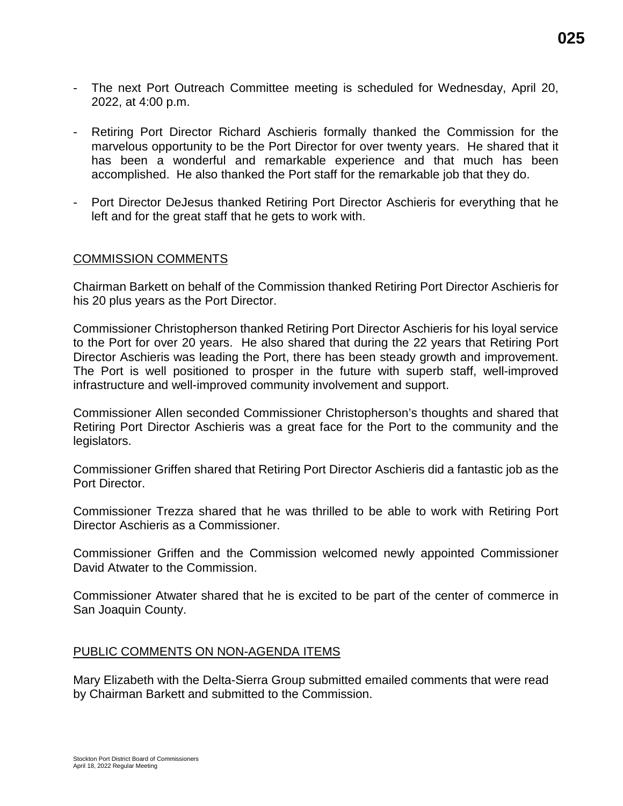- The next Port Outreach Committee meeting is scheduled for Wednesday, April 20, 2022, at 4:00 p.m.
- Retiring Port Director Richard Aschieris formally thanked the Commission for the marvelous opportunity to be the Port Director for over twenty years. He shared that it has been a wonderful and remarkable experience and that much has been accomplished. He also thanked the Port staff for the remarkable job that they do.
- Port Director DeJesus thanked Retiring Port Director Aschieris for everything that he left and for the great staff that he gets to work with.

### COMMISSION COMMENTS

Chairman Barkett on behalf of the Commission thanked Retiring Port Director Aschieris for his 20 plus years as the Port Director.

Commissioner Christopherson thanked Retiring Port Director Aschieris for his loyal service to the Port for over 20 years. He also shared that during the 22 years that Retiring Port Director Aschieris was leading the Port, there has been steady growth and improvement. The Port is well positioned to prosper in the future with superb staff, well-improved infrastructure and well-improved community involvement and support.

Commissioner Allen seconded Commissioner Christopherson's thoughts and shared that Retiring Port Director Aschieris was a great face for the Port to the community and the legislators.

Commissioner Griffen shared that Retiring Port Director Aschieris did a fantastic job as the Port Director.

Commissioner Trezza shared that he was thrilled to be able to work with Retiring Port Director Aschieris as a Commissioner.

Commissioner Griffen and the Commission welcomed newly appointed Commissioner David Atwater to the Commission.

Commissioner Atwater shared that he is excited to be part of the center of commerce in San Joaquin County.

#### PUBLIC COMMENTS ON NON-AGENDA ITEMS

Mary Elizabeth with the Delta-Sierra Group submitted emailed comments that were read by Chairman Barkett and submitted to the Commission.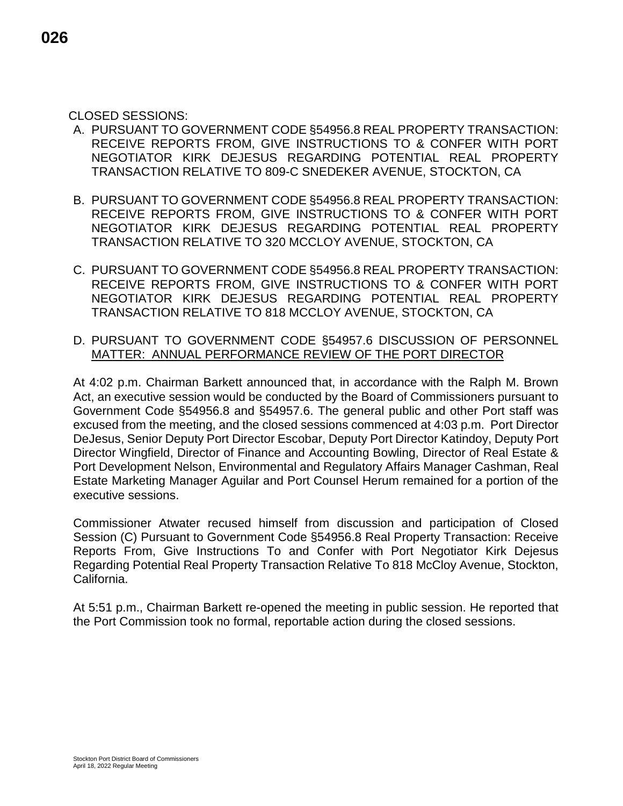### CLOSED SESSIONS:

- A. PURSUANT TO GOVERNMENT CODE §54956.8 REAL PROPERTY TRANSACTION: RECEIVE REPORTS FROM, GIVE INSTRUCTIONS TO & CONFER WITH PORT NEGOTIATOR KIRK DEJESUS REGARDING POTENTIAL REAL PROPERTY TRANSACTION RELATIVE TO 809-C SNEDEKER AVENUE, STOCKTON, CA
- B. PURSUANT TO GOVERNMENT CODE §54956.8 REAL PROPERTY TRANSACTION: RECEIVE REPORTS FROM, GIVE INSTRUCTIONS TO & CONFER WITH PORT NEGOTIATOR KIRK DEJESUS REGARDING POTENTIAL REAL PROPERTY TRANSACTION RELATIVE TO 320 MCCLOY AVENUE, STOCKTON, CA
- C. PURSUANT TO GOVERNMENT CODE §54956.8 REAL PROPERTY TRANSACTION: RECEIVE REPORTS FROM, GIVE INSTRUCTIONS TO & CONFER WITH PORT NEGOTIATOR KIRK DEJESUS REGARDING POTENTIAL REAL PROPERTY TRANSACTION RELATIVE TO 818 MCCLOY AVENUE, STOCKTON, CA
- D. PURSUANT TO GOVERNMENT CODE §54957.6 DISCUSSION OF PERSONNEL MATTER: ANNUAL PERFORMANCE REVIEW OF THE PORT DIRECTOR

At 4:02 p.m. Chairman Barkett announced that, in accordance with the Ralph M. Brown Act, an executive session would be conducted by the Board of Commissioners pursuant to Government Code §54956.8 and §54957.6. The general public and other Port staff was excused from the meeting, and the closed sessions commenced at 4:03 p.m. Port Director DeJesus, Senior Deputy Port Director Escobar, Deputy Port Director Katindoy, Deputy Port Director Wingfield, Director of Finance and Accounting Bowling, Director of Real Estate & Port Development Nelson, Environmental and Regulatory Affairs Manager Cashman, Real Estate Marketing Manager Aguilar and Port Counsel Herum remained for a portion of the executive sessions.

Commissioner Atwater recused himself from discussion and participation of Closed Session (C) Pursuant to Government Code §54956.8 Real Property Transaction: Receive Reports From, Give Instructions To and Confer with Port Negotiator Kirk Dejesus Regarding Potential Real Property Transaction Relative To 818 McCloy Avenue, Stockton, California.

At 5:51 p.m., Chairman Barkett re-opened the meeting in public session. He reported that the Port Commission took no formal, reportable action during the closed sessions.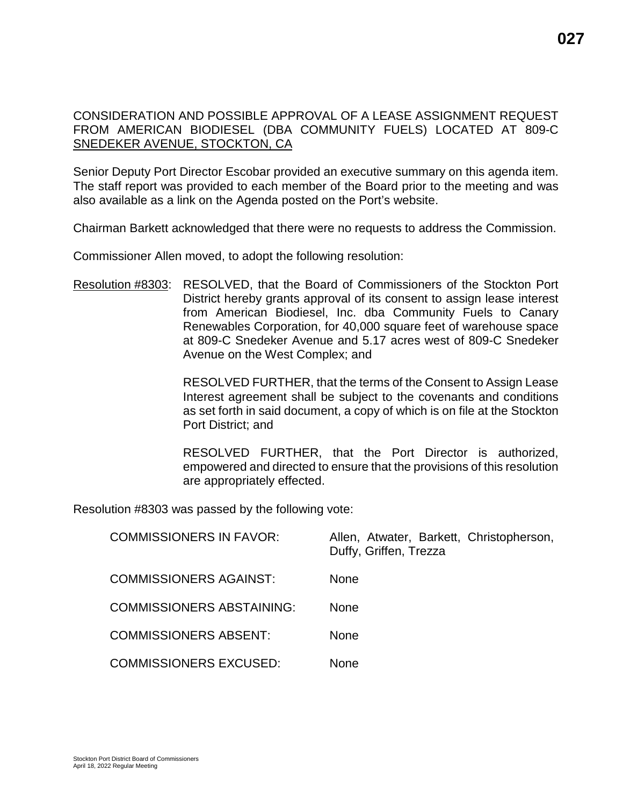### CONSIDERATION AND POSSIBLE APPROVAL OF A LEASE ASSIGNMENT REQUEST FROM AMERICAN BIODIESEL (DBA COMMUNITY FUELS) LOCATED AT 809-C SNEDEKER AVENUE, STOCKTON, CA

Senior Deputy Port Director Escobar provided an executive summary on this agenda item. The staff report was provided to each member of the Board prior to the meeting and was also available as a link on the Agenda posted on the Port's website.

Chairman Barkett acknowledged that there were no requests to address the Commission.

Commissioner Allen moved, to adopt the following resolution:

Resolution #8303: RESOLVED, that the Board of Commissioners of the Stockton Port District hereby grants approval of its consent to assign lease interest from American Biodiesel, Inc. dba Community Fuels to Canary Renewables Corporation, for 40,000 square feet of warehouse space at 809-C Snedeker Avenue and 5.17 acres west of 809-C Snedeker Avenue on the West Complex; and

> RESOLVED FURTHER, that the terms of the Consent to Assign Lease Interest agreement shall be subject to the covenants and conditions as set forth in said document, a copy of which is on file at the Stockton Port District; and

> RESOLVED FURTHER, that the Port Director is authorized, empowered and directed to ensure that the provisions of this resolution are appropriately effected.

Resolution #8303 was passed by the following vote:

| <b>COMMISSIONERS IN FAVOR:</b>   | Allen, Atwater, Barkett, Christopherson,<br>Duffy, Griffen, Trezza |
|----------------------------------|--------------------------------------------------------------------|
| <b>COMMISSIONERS AGAINST:</b>    | <b>None</b>                                                        |
| <b>COMMISSIONERS ABSTAINING:</b> | <b>None</b>                                                        |
| <b>COMMISSIONERS ABSENT:</b>     | <b>None</b>                                                        |
| <b>COMMISSIONERS EXCUSED:</b>    | <b>None</b>                                                        |